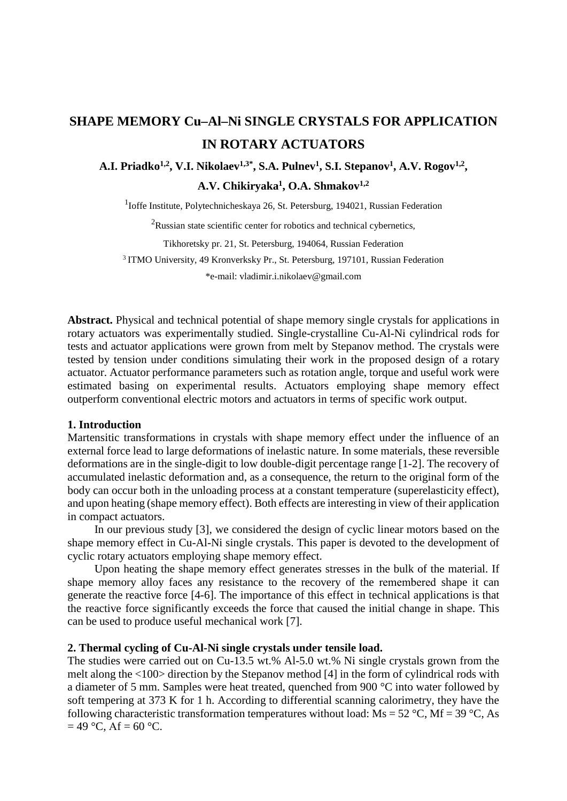# **SHAPE MEMORY Cu–Al–Ni SINGLE CRYSTALS FOR APPLICATION IN ROTARY ACTUATORS**

A.I. Priadko<sup>1,2</sup>, V.I. Nikolaev<sup>1,3\*</sup>, S.A. Pulnev<sup>1</sup>, S.I. Stepanov<sup>1</sup>, A.V. Rogov<sup>1,2</sup>, **A.V. Chikiryaka1, O.A. Shmakov1,2**

<sup>1</sup>Ioffe Institute, Polytechnicheskaya 26, St. Petersburg, 194021, Russian Federation

 $2R$ ussian state scientific center for robotics and technical cybernetics,

Tikhoretsky pr. 21, St. Petersburg, 194064, Russian Federation

<sup>3</sup> ITMO University, 49 Kronverksky Pr., St. Petersburg, 197101, Russian Federation

\*e-mail: vladimir.i.nikolaev@gmail.com

**Abstract.** Physical and technical potential of shape memory single crystals for applications in rotary actuators was experimentally studied. Single-crystalline Cu-Al-Ni cylindrical rods for tests and actuator applications were grown from melt by Stepanov method. The crystals were tested by tension under conditions simulating their work in the proposed design of a rotary actuator. Actuator performance parameters such as rotation angle, torque and useful work were estimated basing on experimental results. Actuators employing shape memory effect outperform conventional electric motors and actuators in terms of specific work output.

## **1. Introduction**

Martensitic transformations in crystals with shape memory effect under the influence of an external force lead to large deformations of inelastic nature. In some materials, these reversible deformations are in the single-digit to low double-digit percentage range [1-2]. The recovery of accumulated inelastic deformation and, as a consequence, the return to the original form of the body can occur both in the unloading process at a constant temperature (superelasticity effect), and upon heating (shape memory effect). Both effects are interesting in view of their application in compact actuators.

In our previous study [3], we considered the design of cyclic linear motors based on the shape memory effect in Cu-Al-Ni single crystals. This paper is devoted to the development of cyclic rotary actuators employing shape memory effect.

Upon heating the shape memory effect generates stresses in the bulk of the material. If shape memory alloy faces any resistance to the recovery of the remembered shape it can generate the reactive force [4-6]. The importance of this effect in technical applications is that the reactive force significantly exceeds the force that caused the initial change in shape. This can be used to produce useful mechanical work [7].

#### **2. Thermal cycling of Cu-Al-Ni single crystals under tensile load.**

The studies were carried out on Cu-13.5 wt.% Al-5.0 wt.% Ni single crystals grown from the melt along the <100> direction by the Stepanov method [4] in the form of cylindrical rods with a diameter of 5 mm. Samples were heat treated, quenched from 900 °C into water followed by soft tempering at 373 K for 1 h. According to differential scanning calorimetry, they have the following characteristic transformation temperatures without load: Ms =  $52^{\circ}$ C, Mf =  $39^{\circ}$ C, As  $= 49$  °C, Af = 60 °C.